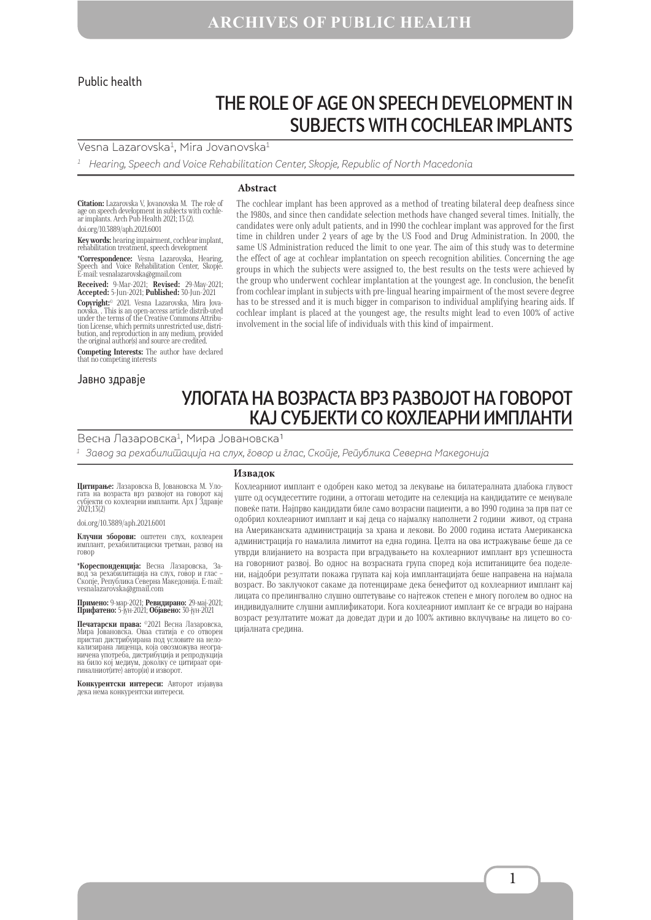#### Public health

# THE ROLE OF AGE ON SPEECH DEVELOPMENT IN SUBJECTS WITH COCHLEAR IMPLANTS

#### Vesna Lazarovska<sup>1</sup>, Mira Jovanovska<sup>1</sup>

 $1$  Hearing, Speech and Voice Rehabilitation Center, Skopje, Republic of North Macedonia

#### **Abstract**

**Citation:** Lazarovska V, Jovanovska M. The role of<br>age on speech development in subjects with cochle-<br>ar implants. Arch Pub Health 2021; 13 (2). doi.org/10.3889/aph.2021.6001

**Key words:** hearing impairment, cochlear implant, rehabilitation treatment, speech development **\*Correspondence:** Vesna Lazarovska, Hearing,

and Voice Rehabilitation Center, Skopje. Е-mail: vesnalazarovska@gmail.com

**Received:** 9-Mar-2021; **Revised:** 29-May-2021; **Accepted:** 5-Jun-2021; **Published:** 30-Jun-2021 **Copyright:**© 2021. Vesna Lazarovska, Mira Jova- novska. . This is an open-access article distrib-uted tion License, which permits unrestricted use, distribution, and reproduction in any medium, provided the original author(s) and source are credited.

**Competing Interests:** The author have declared that no competing interests

#### Јавно здравје

#### The cochlear implant has been approved as a method of treating bilateral deep deafness since the 1980s, and since then candidate selection methods have changed several times. Initially, the candidates were only adult patients, and in 1990 the cochlear implant was approved for the first time in children under 2 years of age by the US Food and Drug Administration. In 2000, the same US Administration reduced the limit to one year. The aim of this study was to determine the effect of age at cochlear implantation on speech recognition abilities. Concerning the age groups in which the subjects were assigned to, the best results on the tests were achieved by the group who underwent cochlear implantation at the youngest age. In conclusion, the benefit from cochlear implant in subjects with pre-lingual hearing impairment of the most severe degree has to be stressed and it is much bigger in comparison to individual amplifying hearing aids. If cochlear implant is placed at the youngest age, the results might lead to even 100% of active involvement in the social life of individuals with this kind of impairment.

## УЛОГАТА НА ВОЗРАСТА ВРЗ РАЗВОЈОТ НА ГОВОРОТ КАЈ СУБЈЕКТИ СО КОХЛЕАРНИ ИМПЛАНТИ

Весна Лазаровска<sup>1</sup>, Мира Јовановска<sup>1</sup>

1 Завод за рехабилитација на слух, говор и глас, Скопје, Република Северна Македонија

**Извадок**

**Цитирање:** Лазаровска В, Јовановска М. Уло- гата на возраста врз развојот на говорот кај субјекти со кохлеарни импланти. Арх Ј Здравје 2021;13(2)

doi.org/10.3889/aph.2021.6001

**Клучни зборови:** оштетен слух, кохлеарен имплант, рехабилитациски третман, развој на говор

**\*Кореспонденција:** Весна Лазаровска, За-<br>вод за рехабилитација на слух, говор и глас -<br>Скопје,Pепублика Северна Македонија.E-mail:<br>vesnalazarovska@gmail.com

**Примено:** 9-мар-2021; **Ревидирано:** 29-мај-2021; **Прифатено:** 5-јун-2021; **Објавено:** 30-јун-2021

**Печатарски права:** ©2021 Весна Лазаровска, Мира Јовановска. Оваа статија е со отворен пристап дистрибуирана под условите на нело-<br>пристап дистрибуирана под условите на нело-<br>кализирана лиценца, која овозможува неограна било кој медичена употреба, дистрибуција и репродукција<br>на било кој медиум, доколку се цитираат ори-<br>гиналниот(ите) автор(и) и изворот.

**Конкурентски интереси:** Авторот изјавува дека нема конкурентски интереси.

Кохлеарниот имплант е одобрен како метод за лекување на билатералната длабока глувост уште од осумдесеттите години, а оттогаш методите на селекција на кандидатите се менувале повеќе пати. Најпрво кандидати биле само возрасни пациенти, а во 1990 година за прв пат се одобрил кохлеарниот имплант и кај деца со најмалку наполнети 2 години живот, од страна на Американската администрација за храна и лекови. Во 2000 година истата Американска администрација го намалила лимитот на една година. Целта на ова истражување беше да се утврди влијанието на возраста при вградувањето на кохлеарниот имплант врз успешноста на говорниот развој. Во однос на возрасната група според која испитаниците беа поделени, најдобри резултати покажа групата кај која имплантацијата беше направена на најмала возраст. Во заклучокот сакаме да потенцираме дека бенефитот од кохлеарниот имплант кај лицата со прелингвално слушно оштетување со најтежок степен е многу поголем во однос на индивидуалните слушни амплификатори. Кога кохлеарниот имплант ќе се вгради во најрана возраст резултатите можат да доведат дури и до 100% активно вклучување на лицето во социјалната средина.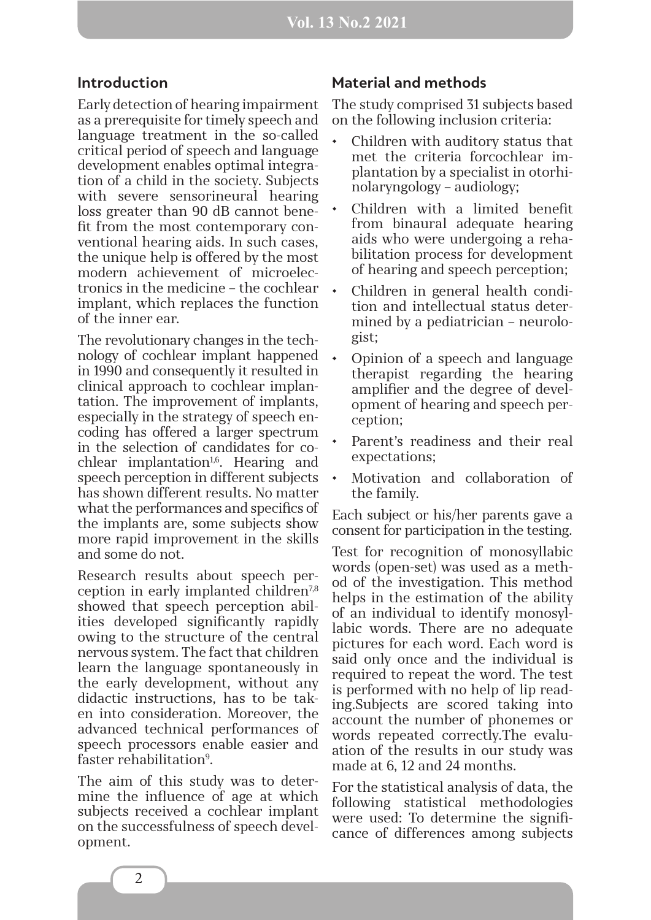#### **Introduction**

Early detection of hearing impairment as a prerequisite for timely speech and language treatment in the so-called critical period of speech and language development enables optimal integration of a child in the society. Subjects with severe sensorineural hearing loss greater than 90 dB cannot benefit from the most contemporary conventional hearing aids. In such cases, the unique help is offered by the most modern achievement of microelectronics in the medicine – the cochlear implant, which replaces the function of the inner ear.

The revolutionary changes in the technology of cochlear implant happened in 1990 and consequently it resulted in clinical approach to cochlear implantation. The improvement of implants, especially in the strategy of speech encoding has offered a larger spectrum in the selection of candidates for co $chlear$  implantation<sup>1,6</sup>. Hearing and speech perception in different subjects has shown different results. No matter what the performances and specifics of the implants are, some subjects show more rapid improvement in the skills and some do not.

Research results about speech perception in early implanted children<sup>7,8</sup> showed that speech perception abilities developed significantly rapidly owing to the structure of the central nervous system. The fact that children learn the language spontaneously in the early development, without any didactic instructions, has to be taken into consideration. Moreover, the advanced technical performances of speech processors enable easier and faster rehabilitation<sup>9</sup>.

The aim of this study was to determine the influence of age at which subjects received a cochlear implant on the successfulness of speech development.

### **Material and methods**

The study comprised 31 subjects based on the following inclusion criteria:

- Children with auditory status that met the criteria forcochlear implantation by a specialist in otorhinolaryngology – audiology;
- Children with a limited benefit from binaural adequate hearing aids who were undergoing a rehabilitation process for development of hearing and speech perception;
- Children in general health condition and intellectual status determined by a pediatrician – neurologist;
- Opinion of a speech and language therapist regarding the hearing amplifier and the degree of development of hearing and speech perception;
- Parent's readiness and their real expectations;
- Motivation and collaboration of the family.

Each subject or his/her parents gave a consent for participation in the testing.

Test for recognition of monosyllabic words (open-set) was used as a method of the investigation. This method helps in the estimation of the ability of an individual to identify monosyllabic words. There are no adequate pictures for each word. Each word is said only once and the individual is required to repeat the word. The test is performed with no help of lip reading.Subjects are scored taking into account the number of phonemes or words repeated correctly.The evaluation of the results in our study was made at 6, 12 and 24 months.

For the statistical analysis of data, the following statistical methodologies were used: To determine the significance of differences among subjects

2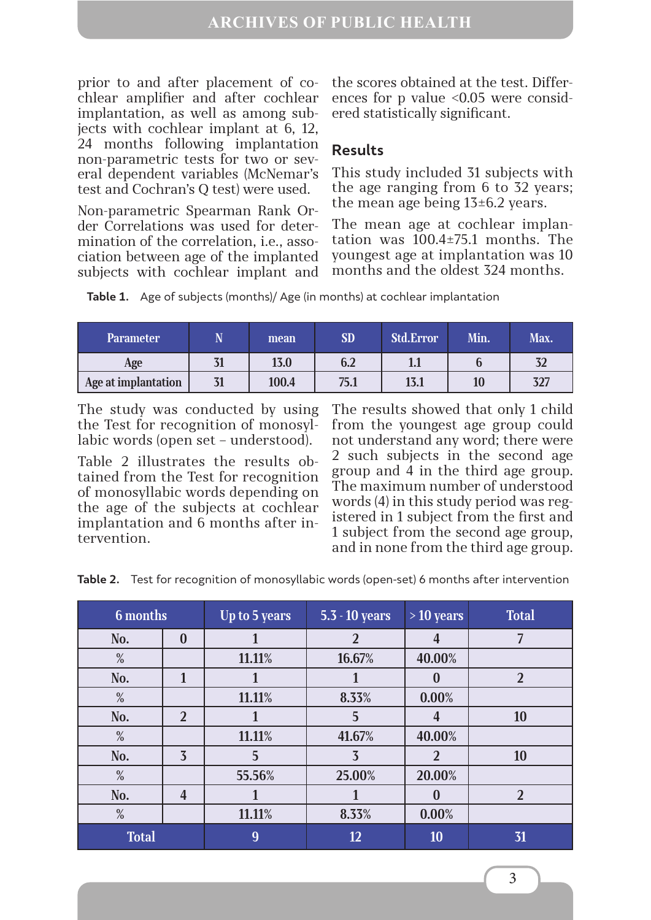prior to and after placement of cochlear amplifier and after cochlear implantation, as well as among subjects with cochlear implant at 6, 12, 24 months following implantation non-parametric tests for two or several dependent variables (McNemar's test and Cochran's Q test) were used.

Non-parametric Spearman Rank Order Correlations was used for determination of the correlation, i.e., association between age of the implanted subjects with cochlear implant and

the scores obtained at the test. Differences for p value <0.05 were considered statistically significant.

### **Results**

This study included 31 subjects with the age ranging from 6 to 32 years; the mean age being  $13\pm6.2$  years.

The mean age at cochlear implantation was 100.4±75.1 months. The youngest age at implantation was 10 months and the oldest 324 months.

**Table 1.** Age of subjects (months)/ Age (in months) at cochlear implantation

| <b>Parameter</b>    | N  | mean  | <b>SD</b> | <b>Std.Error</b> | Min. | Max. |
|---------------------|----|-------|-----------|------------------|------|------|
| Age                 |    | 13.0  | 6.2       |                  |      | 32   |
| Age at implantation | 31 | 100.4 | 75.1      | 13.1             | 10   | 327  |

The study was conducted by using the Test for recognition of monosyllabic words (open set – understood).

Table 2 illustrates the results obtained from the Test for recognition of monosyllabic words depending on the age of the subjects at cochlear implantation and 6 months after intervention.

The results showed that only 1 child from the youngest age group could not understand any word; there were 2 such subjects in the second age group and 4 in the third age group. The maximum number of understood words (4) in this study period was registered in 1 subject from the first and 1 subject from the second age group, and in none from the third age group.

**Table 2.** Test for recognition of monosyllabic words (open-set) 6 months after intervention

| 6 months     |                | Up to 5 years | 5.3 - 10 years | $>10$ years             | <b>Total</b>   |
|--------------|----------------|---------------|----------------|-------------------------|----------------|
| No.          | $\bf{0}$       | 1             | $\overline{2}$ | $\overline{\mathbf{4}}$ |                |
| $\%$         |                | 11.11%        | 16.67%         | 40.00%                  |                |
| No.          | 1              |               |                | $\bf{0}$                | $\overline{2}$ |
| $\%$         |                | 11.11%        | 8.33%          | 0.00%                   |                |
| No.          | $\overline{2}$ |               | 5              | 4                       | 10             |
| %            |                | 11.11%        | 41.67%         | 40.00%                  |                |
| No.          | $\overline{3}$ | 5             | 3              | $\overline{2}$          | 10             |
| %            |                | 55.56%        | 25.00%         | 20.00%                  |                |
| No.          | $\overline{4}$ |               |                | 0                       | $\overline{2}$ |
| $\%$         |                | 11.11%        | 8.33%          | 0.00%                   |                |
| <b>Total</b> |                | 9             | 12             | 10                      | 31             |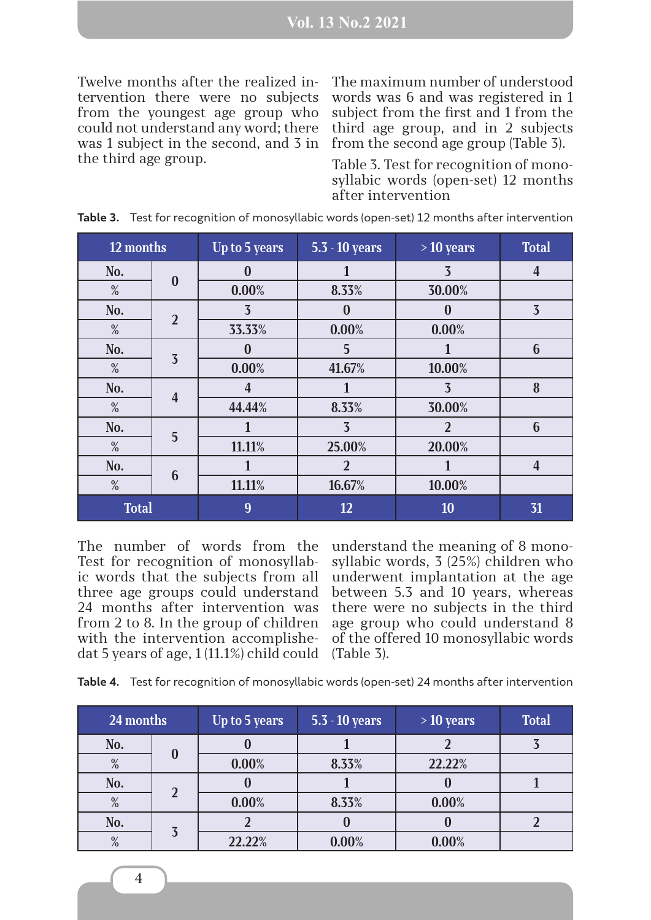Twelve months after the realized intervention there were no subjects from the youngest age group who could not understand any word; there was 1 subject in the second, and 3 in the third age group.

The maximum number of understood words was 6 and was registered in 1 subject from the first and 1 from the third age group, and in 2 subjects from the second age group (Table 3).

Table 3. Test for recognition of monosyllabic words (open-set) 12 months after intervention

| 12 months    |                         | Up to 5 years  | 5.3 - 10 years | $>10$ years    | <b>Total</b>            |
|--------------|-------------------------|----------------|----------------|----------------|-------------------------|
| No.          |                         | $\bf{0}$       | 1              | $\overline{3}$ | 4                       |
| %            | $\bf{0}$                | 0.00%          | 8.33%          | 30.00%         |                         |
| No.          | $\overline{2}$          | $\overline{3}$ | $\bf{0}$       | $\bf{0}$       | $\overline{3}$          |
| $\%$         |                         | 33.33%         | 0.00%          | 0.00%          |                         |
| No.          | $\overline{3}$          | $\bf{0}$       | 5              |                | 6                       |
| $\%$         |                         | 0.00%          | 41.67%         | 10.00%         |                         |
| No.          | $\overline{\mathbf{4}}$ | 4              |                | $\overline{3}$ | 8                       |
| %            |                         | 44.44%         | 8.33%          | 30.00%         |                         |
| No.          | 5                       |                | $\overline{3}$ | $\overline{2}$ | 6                       |
| %            |                         | 11.11%         | 25.00%         | 20.00%         |                         |
| No.          | 6                       |                | $\overline{2}$ |                | $\overline{\mathbf{4}}$ |
| %            |                         | 11.11%         | 16.67%         | 10.00%         |                         |
| <b>Total</b> |                         | 9              | 12             | 10             | 31                      |

**Table 3.** Test for recognition of monosyllabic words (open-set) 12 months after intervention

The number of words from the Test for recognition of monosyllabic words that the subjects from all three age groups could understand 24 months after intervention was from 2 to 8. In the group of children with the intervention accomplishedat 5 years of age, 1 (11.1%) child could

understand the meaning of 8 monosyllabic words, 3 (25%) children who underwent implantation at the age between 5.3 and 10 years, whereas there were no subjects in the third age group who could understand 8 of the offered 10 monosyllabic words (Table 3).

|  |  |  |  | Table 4. Test for recognition of monosyllabic words (open-set) 24 months after intervention |
|--|--|--|--|---------------------------------------------------------------------------------------------|
|--|--|--|--|---------------------------------------------------------------------------------------------|

| 24 months |                   | Up to 5 years | $5.3 - 10$ years | $>10$ years | <b>Total</b> |
|-----------|-------------------|---------------|------------------|-------------|--------------|
| No.       | $\bf{0}$          |               |                  |             |              |
| %         |                   | 0.00%         | 8.33%            | 22.22%      |              |
| No.       | $\mathbf{\Omega}$ |               |                  |             |              |
| $\%$      |                   | 0.00%         | 8.33%            | 0.00%       |              |
| No.       | $\overline{3}$    |               |                  |             |              |
| %         |                   | 22.22%        | 0.00%            | 0.00%       |              |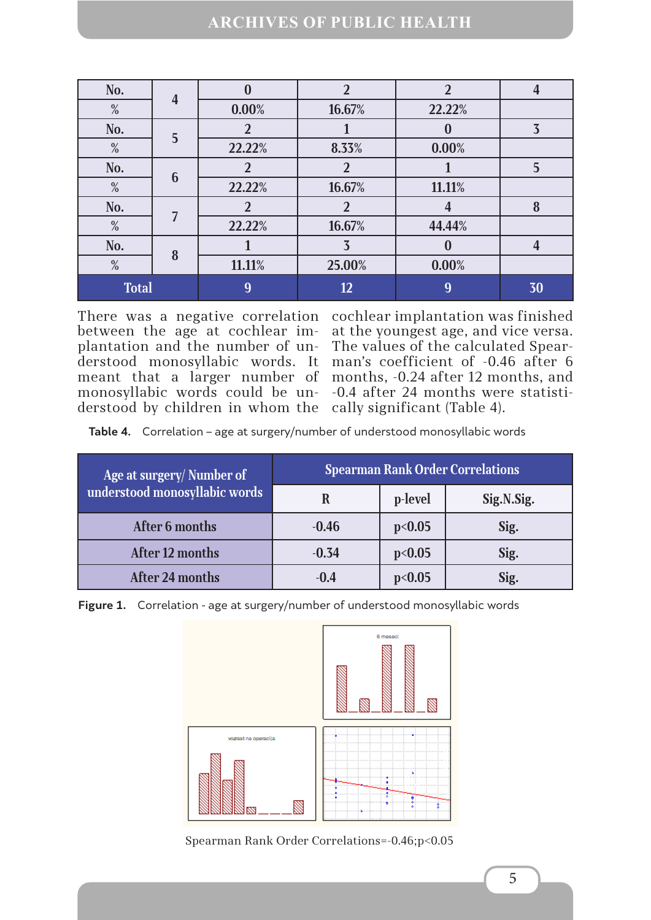### **ARCHIVES OF PUBLIC HEALTH**

| No.          | $\overline{4}$ | $\bf{0}$ | $\overline{2}$ | $\overline{2}$ |    |
|--------------|----------------|----------|----------------|----------------|----|
| %            |                | 0.00%    | 16.67%         | 22.22%         |    |
| No.          | 5              |          |                | O              | 3  |
| %            |                | 22.22%   | 8.33%          | 0.00%          |    |
| No.          | 6              |          |                |                |    |
| %            |                | 22.22%   | 16.67%         | 11.11%         |    |
| No.          | 7              |          | ി              |                | 8  |
| $\%$         |                | 22.22%   | 16.67%         | 44.44%         |    |
| No.          |                |          | $\overline{3}$ |                |    |
| %            | 8              | 11.11%   | 25.00%         | 0.00%          |    |
| <b>Total</b> |                | 9        | 12             | 9              | 30 |

There was a negative correlation cochlear implantation was finished between the age at cochlear implantation and the number of un-The values of the calculated Spearderstood monosyllabic words. It man's coefficient of -0.46 after 6 meant that a larger number of months, -0.24 after 12 months, and monosyllabic words could be un--0.4 after 24 months were statistiderstood by children in whom the cally significant (Table 4).

at the youngest age, and vice versa.

**Table 4.** Correlation – age at surgery/number of understood monosyllabic words

| Age at surgery/Number of      | <b>Spearman Rank Order Correlations</b> |         |            |  |
|-------------------------------|-----------------------------------------|---------|------------|--|
| understood monosyllabic words |                                         | p-level | Sig.N.Sig. |  |
| After 6 months                | $-0.46$                                 | p<0.05  | Sig.       |  |
| After 12 months               | $-0.34$                                 | p<0.05  | Sig.       |  |
| <b>After 24 months</b>        | $-0.4$                                  | p<0.05  | Sig.       |  |

**Figure 1.** Correlation - age at surgery/number of understood monosyllabic words



Spearman Rank Order Correlations=-0.46;p<0.05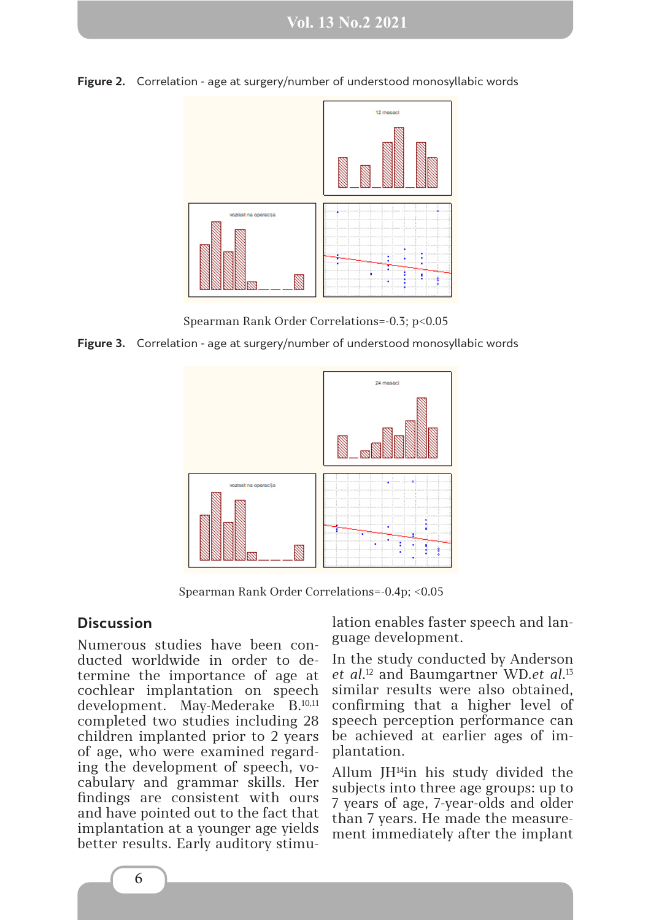



Spearman Rank Order Correlations=-0.3; p<0.05

**Figure 3.** Correlation - age at surgery/number of understood monosyllabic words



Spearman Rank Order Correlations=-0.4p; <0.05

#### **Discussion**

Numerous studies have been conducted worldwide in order to determine the importance of age at cochlear implantation on speech development. May-Mederake B.10,11 completed two studies including 28 children implanted prior to 2 years of age, who were examined regarding the development of speech, vocabulary and grammar skills. Her findings are consistent with ours and have pointed out to the fact that implantation at a younger age yields better results. Early auditory stimulation enables faster speech and language development.

In the study conducted by Anderson *et al*. 12 and Baumgartner WD.*et al*. 13 similar results were also obtained, confirming that a higher level of speech perception performance can be achieved at earlier ages of implantation.

Allum JH14in his study divided the subjects into three age groups: up to 7 years of age, 7-year-olds and older than 7 years. He made the measurement immediately after the implant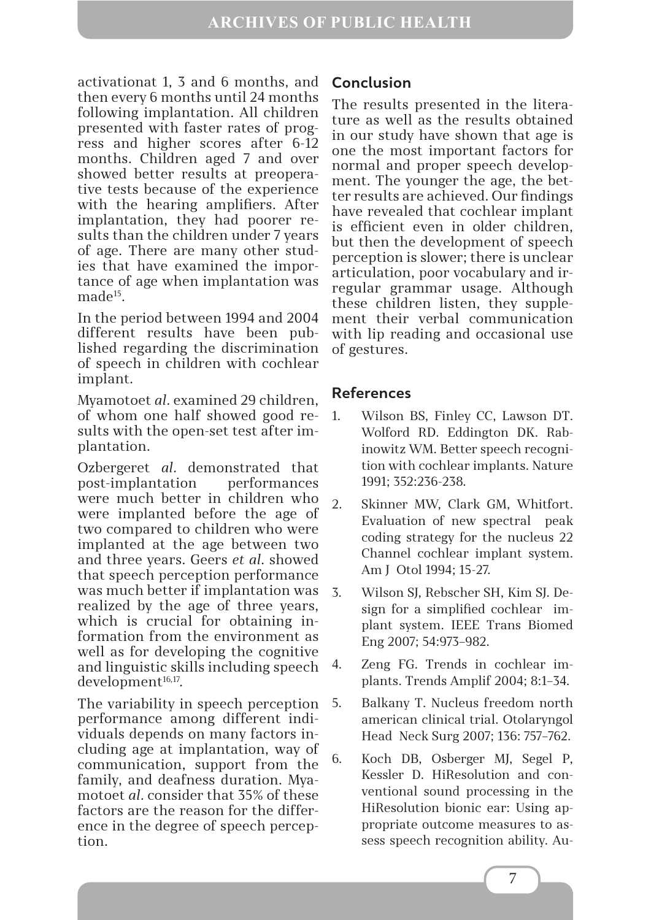activationat 1, 3 and 6 months, and then every 6 months until 24 months following implantation. All children presented with faster rates of progress and higher scores after 6-12 months. Children aged 7 and over showed better results at preoperative tests because of the experience with the hearing amplifiers. After implantation, they had poorer results than the children under 7 years of age. There are many other studies that have examined the importance of age when implantation was made<sup>15</sup>.

In the period between 1994 and 2004 different results have been published regarding the discrimination of speech in children with cochlear implant.

Myamotoet *al.* examined 29 children, of whom one half showed good results with the open-set test after implantation.

Ozbergeret *al.* demonstrated that post-implantation performances were much better in children who were implanted before the age of two compared to children who were implanted at the age between two and three years. Geers *et al*. showed that speech perception performance was much better if implantation was realized by the age of three years, which is crucial for obtaining information from the environment as well as for developing the cognitive and linguistic skills including speech development<sup>16,17</sup>.

The variability in speech perception performance among different individuals depends on many factors including age at implantation, way of communication, support from the family, and deafness duration. Myamotoet *al.* consider that 35% of these factors are the reason for the difference in the degree of speech perception.

## **Conclusion**

The results presented in the literature as well as the results obtained in our study have shown that age is one the most important factors for normal and proper speech development. The younger the age, the better results are achieved. Our findings have revealed that cochlear implant is efficient even in older children, but then the development of speech perception is slower; there is unclear articulation, poor vocabulary and irregular grammar usage. Although these children listen, they supplement their verbal communication with lip reading and occasional use of gestures.

### **References**

- 1. Wilson BS, Finley CC, Lawson DT. Wolford RD. Eddington DK. Rabinowitz WM. Better speech recognition with cochlear implants. Nature 1991; 352:236-238.
- 2. Skinner MW, Clark GM, Whitfort. Evaluation of new spectral peak coding strategy for the nucleus 22 Channel cochlear implant system. Am J Otol 1994; 15-27.
- 3. Wilson SJ, Rebscher SH, Kim SJ. Design for a simplified cochlear implant system. IEEE Trans Biomed Eng 2007; 54:973–982.
- 4. Zeng FG. Trends in cochlear implants. Trends Amplif 2004; 8:1–34.
- 5. Balkany T. Nucleus freedom north american clinical trial. Otolaryngol Head Neck Surg 2007; 136: 757–762.
- 6. Koch DB, Osberger MJ, Segel P, Kessler D. HiResolution and conventional sound processing in the HiResolution bionic ear: Using appropriate outcome measures to assess speech recognition ability. Au-